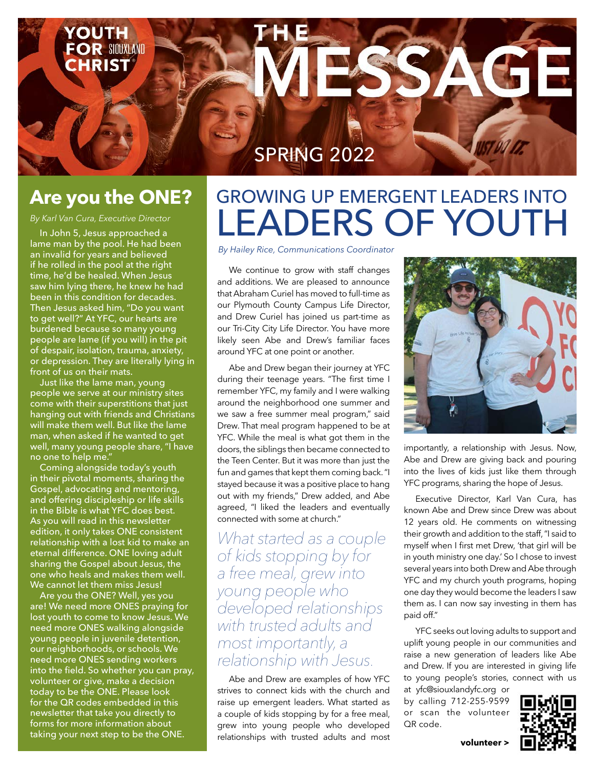**OR SIOUXLAND IRIST** 

### SPRING 2022

### **Are you the ONE?**

*By Karl Van Cura, Executive Director*

In John 5, Jesus approached a lame man by the pool. He had been an invalid for years and believed if he rolled in the pool at the right time, he'd be healed. When Jesus saw him lying there, he knew he had been in this condition for decades. Then Jesus asked him, "Do you want to get well?" At YFC, our hearts are burdened because so many young people are lame (if you will) in the pit of despair, isolation, trauma, anxiety, or depression. They are literally lying in front of us on their mats.

Just like the lame man, young people we serve at our ministry sites come with their superstitions that just hanging out with friends and Christians will make them well. But like the lame man, when asked if he wanted to get well, many young people share, "I have no one to help me."

Coming alongside today's youth in their pivotal moments, sharing the Gospel, advocating and mentoring, and offering discipleship or life skills in the Bible is what YFC does best. As you will read in this newsletter edition, it only takes ONE consistent relationship with a lost kid to make an eternal difference. ONE loving adult sharing the Gospel about Jesus, the one who heals and makes them well. We cannot let them miss Jesus!

Are you the ONE? Well, yes you are! We need more ONES praying for lost youth to come to know Jesus. We need more ONES walking alongside young people in juvenile detention, our neighborhoods, or schools. We need more ONES sending workers into the field. So whether you can pray, volunteer or give, make a decision today to be the ONE. Please look for the QR codes embedded in this newsletter that take you directly to forms for more information about taking your next step to be the ONE.

## GROWING UP EMERGENT LEADERS INTO LEADERS OF YOUTH

*By Hailey Rice, Communications Coordinator*

We continue to grow with staff changes and additions. We are pleased to announce that Abraham Curiel has moved to full-time as our Plymouth County Campus Life Director, and Drew Curiel has joined us part-time as our Tri-City City Life Director. You have more likely seen Abe and Drew's familiar faces around YFC at one point or another.

Abe and Drew began their journey at YFC during their teenage years. "The first time I remember YFC, my family and I were walking around the neighborhood one summer and we saw a free summer meal program," said Drew. That meal program happened to be at YFC. While the meal is what got them in the doors, the siblings then became connected to the Teen Center. But it was more than just the fun and games that kept them coming back. "I stayed because it was a positive place to hang out with my friends," Drew added, and Abe agreed, "I liked the leaders and eventually connected with some at church."

*What started as a couple of kids stopping by for a free meal, grew into young people who developed relationships with trusted adults and most importantly, a relationship with Jesus.*

Abe and Drew are examples of how YFC strives to connect kids with the church and raise up emergent leaders. What started as a couple of kids stopping by for a free meal, grew into young people who developed relationships with trusted adults and most



AG-

importantly, a relationship with Jesus. Now, Abe and Drew are giving back and pouring into the lives of kids just like them through YFC programs, sharing the hope of Jesus.

Executive Director, Karl Van Cura, has known Abe and Drew since Drew was about 12 years old. He comments on witnessing their growth and addition to the staff, "I said to myself when I first met Drew, 'that girl will be in youth ministry one day.' So I chose to invest several years into both Drew and Abe through YFC and my church youth programs, hoping one day they would become the leaders I saw them as. I can now say investing in them has paid off."

YFC seeks out loving adults to support and uplift young people in our communities and raise a new generation of leaders like Abe and Drew. If you are interested in giving life to young people's stories, connect with us

at yfc@siouxlandyfc.org or by calling 712-255-9599 or scan the volunteer QR code.



**volunteer >**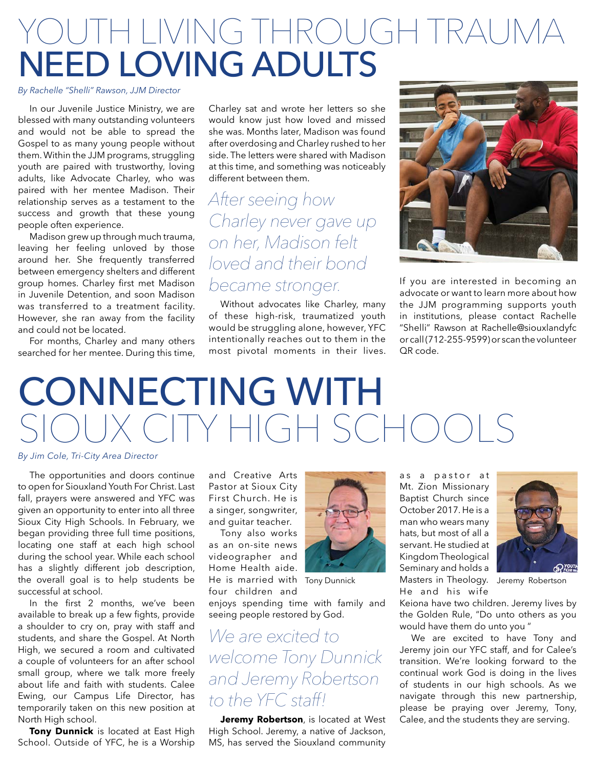## TH LIVING THROUGH TRAUM NEED LOVING ADULTS

#### *By Rachelle "Shelli" Rawson, JJM Director*

In our Juvenile Justice Ministry, we are blessed with many outstanding volunteers and would not be able to spread the Gospel to as many young people without them. Within the JJM programs, struggling youth are paired with trustworthy, loving adults, like Advocate Charley, who was paired with her mentee Madison. Their relationship serves as a testament to the success and growth that these young people often experience.

Madison grew up through much trauma, leaving her feeling unloved by those around her. She frequently transferred between emergency shelters and different group homes. Charley first met Madison in Juvenile Detention, and soon Madison was transferred to a treatment facility. However, she ran away from the facility and could not be located.

For months, Charley and many others searched for her mentee. During this time, Charley sat and wrote her letters so she would know just how loved and missed she was. Months later, Madison was found after overdosing and Charley rushed to her side. The letters were shared with Madison at this time, and something was noticeably different between them.

### *After seeing how Charley never gave up on her, Madison felt loved and their bond became stronger.*

Without advocates like Charley, many of these high-risk, traumatized youth would be struggling alone, however, YFC intentionally reaches out to them in the most pivotal moments in their lives.



If you are interested in becoming an advocate or want to learn more about how the JJM programming supports youth in institutions, please contact Rachelle "Shelli" Rawson at Rachelle@siouxlandyfc or call (712-255-9599) or scan the volunteer QR code.

# CONNECTING WITH ITY HIGH SCHOO

#### *By Jim Cole, Tri-City Area Director*

The opportunities and doors continue to open for Siouxland Youth For Christ. Last fall, prayers were answered and YFC was given an opportunity to enter into all three Sioux City High Schools. In February, we began providing three full time positions, locating one staff at each high school during the school year. While each school has a slightly different job description, the overall goal is to help students be successful at school.

In the first 2 months, we've been available to break up a few fights, provide a shoulder to cry on, pray with staff and students, and share the Gospel. At North High, we secured a room and cultivated a couple of volunteers for an after school small group, where we talk more freely about life and faith with students. Calee Ewing, our Campus Life Director, has temporarily taken on this new position at North High school.

**Tony Dunnick** is located at East High School. Outside of YFC, he is a Worship and Creative Arts Pastor at Sioux City First Church. He is a singer, songwriter, and guitar teacher.

Tony also works as an on-site news videographer and Home Health aide. He is married with Tony Dunnick four children and



enjoys spending time with family and seeing people restored by God.

*We are excited to welcome Tony Dunnick and Jeremy Robertson to the YFC staff!*

**Jeremy Robertson**, is located at West High School. Jeremy, a native of Jackson, MS, has served the Siouxland community

as a pastor at Mt. Zion Missionary Baptist Church since October 2017. He is a man who wears many hats, but most of all a servant. He studied at Kingdom Theological Seminary and holds a Tony Dunnick Masters in Theology. Jeremy Robertson He and his wife



Keiona have two children. Jeremy lives by the Golden Rule, "Do unto others as you would have them do unto you "

We are excited to have Tony and Jeremy join our YFC staff, and for Calee's transition. We're looking forward to the continual work God is doing in the lives of students in our high schools. As we navigate through this new partnership, please be praying over Jeremy, Tony, Calee, and the students they are serving.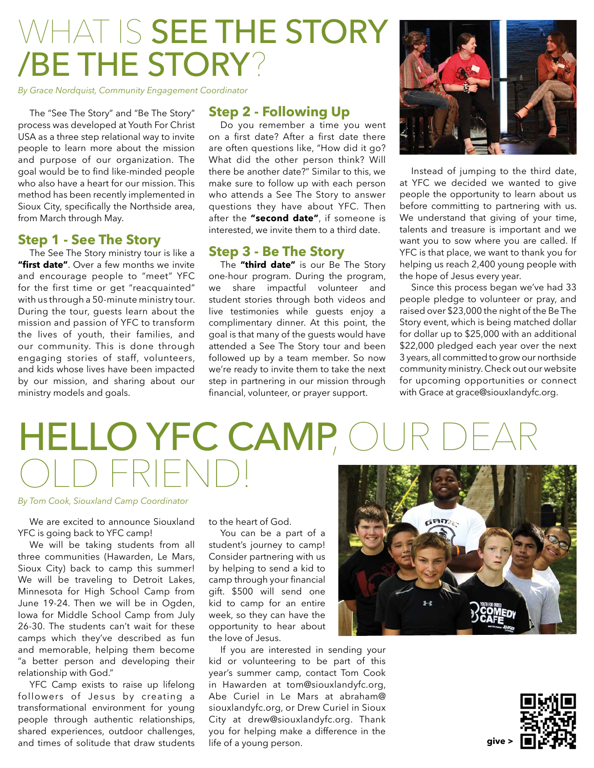## WHAT IS SEE THE STORY /BE THE STORY?

*By Grace Nordquist, Community Engagement Coordinator*

The "See The Story" and "Be The Story" process was developed at Youth For Christ USA as a three step relational way to invite people to learn more about the mission and purpose of our organization. The goal would be to find like-minded people who also have a heart for our mission. This method has been recently implemented in Sioux City, specifically the Northside area, from March through May.

#### **Step 1 - See The Story**

The See The Story ministry tour is like a **"first date"**. Over a few months we invite and encourage people to "meet" YFC for the first time or get "reacquainted" with us through a 50-minute ministry tour. During the tour, guests learn about the mission and passion of YFC to transform the lives of youth, their families, and our community. This is done through engaging stories of staff, volunteers, and kids whose lives have been impacted by our mission, and sharing about our ministry models and goals.

#### **Step 2 - Following Up**

Do you remember a time you went on a first date? After a first date there are often questions like, "How did it go? What did the other person think? Will there be another date?" Similar to this, we make sure to follow up with each person who attends a See The Story to answer questions they have about YFC. Then after the **"second date"**, if someone is interested, we invite them to a third date.

#### **Step 3 - Be The Story**

The **"third date"** is our Be The Story one-hour program. During the program, we share impactful volunteer and student stories through both videos and live testimonies while guests enjoy a complimentary dinner. At this point, the goal is that many of the guests would have attended a See The Story tour and been followed up by a team member. So now we're ready to invite them to take the next step in partnering in our mission through financial, volunteer, or prayer support.



Instead of jumping to the third date, at YFC we decided we wanted to give people the opportunity to learn about us before committing to partnering with us. We understand that giving of your time, talents and treasure is important and we want you to sow where you are called. If YFC is that place, we want to thank you for helping us reach 2,400 young people with the hope of Jesus every year.

Since this process began we've had 33 people pledge to volunteer or pray, and raised over \$23,000 the night of the Be The Story event, which is being matched dollar for dollar up to \$25,000 with an additional \$22,000 pledged each year over the next 3 years, all committed to grow our northside community ministry. Check out our website for upcoming opportunities or connect with Grace at grace@siouxlandyfc.org.

## HELLO YFC CAMP, OU OLD FRIEND!

#### *By Tom Cook, Siouxland Camp Coordinator*

We are excited to announce Siouxland YFC is going back to YFC camp!

We will be taking students from all three communities (Hawarden, Le Mars, Sioux City) back to camp this summer! We will be traveling to Detroit Lakes, Minnesota for High School Camp from June 19-24. Then we will be in Ogden, Iowa for Middle School Camp from July 26-30. The students can't wait for these camps which they've described as fun and memorable, helping them become "a better person and developing their relationship with God."

YFC Camp exists to raise up lifelong followers of Jesus by creating a transformational environment for young people through authentic relationships, shared experiences, outdoor challenges, and times of solitude that draw students

to the heart of God.

You can be a part of a student's journey to camp! Consider partnering with us by helping to send a kid to camp through your financial gift. \$500 will send one kid to camp for an entire week, so they can have the opportunity to hear about the love of Jesus.

If you are interested in sending your kid or volunteering to be part of this year's summer camp, contact Tom Cook in Hawarden at tom@siouxlandyfc.org, Abe Curiel in Le Mars at abraham@ siouxlandyfc.org, or Drew Curiel in Sioux City at drew@siouxlandyfc.org. Thank you for helping make a difference in the life of a young person.